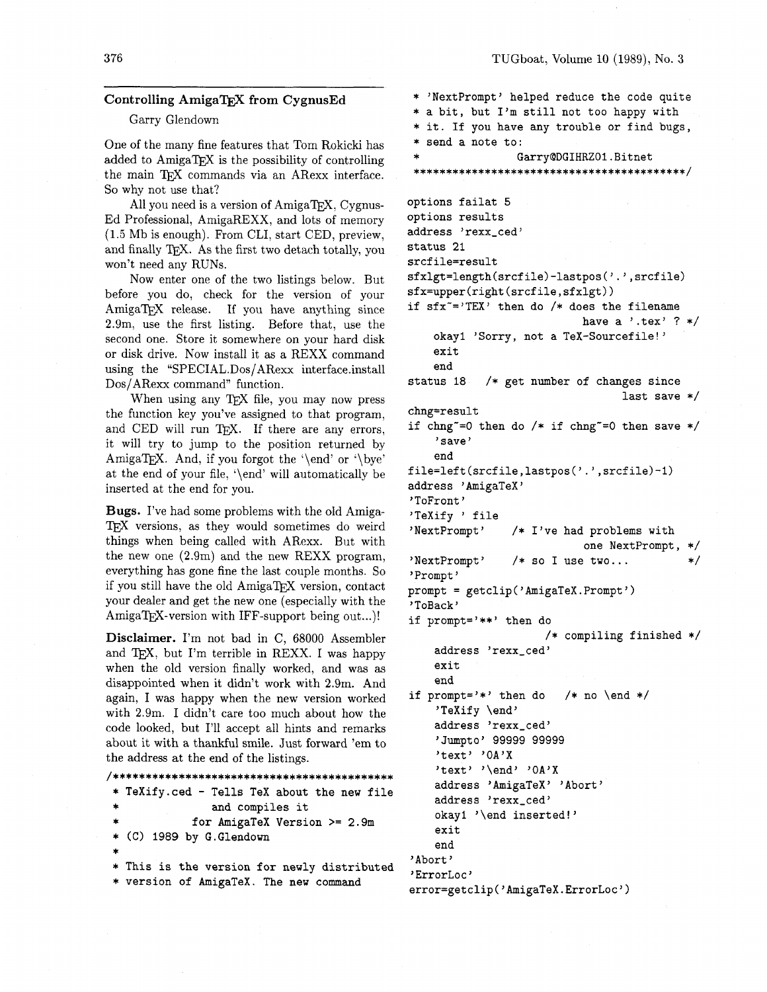## **Controlling AmigaTFX from CygnusEd**

## Garry Glendown

One of the many fine features that Tom Rokicki has added to Amiga $TFX$  is the possibility of controlling the main TFX commands via an ARexx interface. So why not use that?

All you need is a version of AmigaT<sub>F</sub>X, Cygnus-Ed Professional, AmigaREXX, and lots of memory (1.5 Mb is enough). From CLI, start CED, preview, and finally TEX. As the first two detach totally, you won't need any RUNS.

Now enter one of the two listings below. But before you do, check for the version of your AmigaTEX release. If you have anything since 2.9m, use the first listing. Before that, use the second one. Store it somewhere on your hard disk or disk drive. Now install it as a REXX command using the "SPECIAL.Dos/ARexx interface.instal1 Dos/ARexx command" function.

When using any TEX file, you may now press the function key you've assigned to that program, and CED will run TFX. If there are any errors, it will try to jump to the position returned by AmigaT<sub>E</sub>X. And, if you forgot the '\end' or '\bye' at the end of your file, '\end' will automatically be inserted at the end for you.

Bugs. I've had some problems with the old Amiga-T<sub>F</sub>X versions, as they would sometimes do weird things when being called with ARexx. But with the new one (2.9m) and the new REXX program, everything has gone fine the last couple months. So if you still have the old AmigaTFX version, contact your dealer and get the new one (especially with the AmigaT<sub>F</sub>X-version with IFF-support being out...)!

**Disclaimer.** I'm not bad in C, 68000 Assembler and TEX, but I'm terrible in REXX. I was happy when the old version finally worked, and was as disappointed when it didn't work with 2.9m. And again, I was happy when the new version worked with 2.9m. I didn't care too much about how the code looked, but I'll accept all hints and remarks about it with a thankful smile. Just forward 'em to the address at the end of the listings.

```
............................................ 
 * TeXify.ced - Tells TeX about the new file
```

```
and compiles it
```

```
for AmigaTeX Version >= 2.9m
```

```
* (C) 1989 by G.Glendown
```

```
*
```

```
* This is the version for newly distributed 
* version of AmigaTeX. The new command
```
\* 'NextPrompt' helped reduce the code quite \* a bit, but I'm still not too happy with \* it. If you have any trouble or find bugs, \* send a note to: Garry@DGIHRZO1.Bitnet ........................................... options failat 5 options results address 'rexx\_ced' status 21 srcfile=result **sfxlgt=length(srcfile)-lastpos('.',srcfile) sfx=upper(right(srcfile,sfxlgt))**  if  $sfx^*='TEX'$  then do /\* does the filename have a '.tex' ?  $*/$ okayl 'Sorry, not a TeX-Sourcefile!' exit end status 18 /\* get number of changes since last save \*/ chng=result if chng<sup>-=0</sup> then do  $/*$  if chng<sup>-=0</sup> then save  $*/$ 

```
'save' 
end
```

```
f ile=left (srcf ile ,lastpos( '.' , srcfile) -1)
```

```
address 'AmigaTeX' 
'ToFront ' 
'TeXify ' file 
'NextPrompt' /* I've had problems with
                           one NextPrompt, 
'NextPrompt' /* so I use two...
                                            \ast/
```

```
'Prompt ' 
prompt = getclip('AmigaTeX.Prompt')
```

```
' ToBack'
```

```
if prompt='**' then do 
                      /* compiling finished 
    address 'rexx_ced'
    exit
```
end if prompt='\*' then do  $/*$  no \end \*/ 'TeXify \endy address 'rexx-ced' 'Jumpto' 99999 99999 'text' 'OA'X 'text' '\end' 'OA'X address 'AmigaTeX' 'Abort' address 'rexx\_ced' okayl '\end inserted!' exit

```
end 
'Abort '
```

```
'ErrorLoc'
```

```
error=getclip('AmigaTeX.ErrorLoc')
```